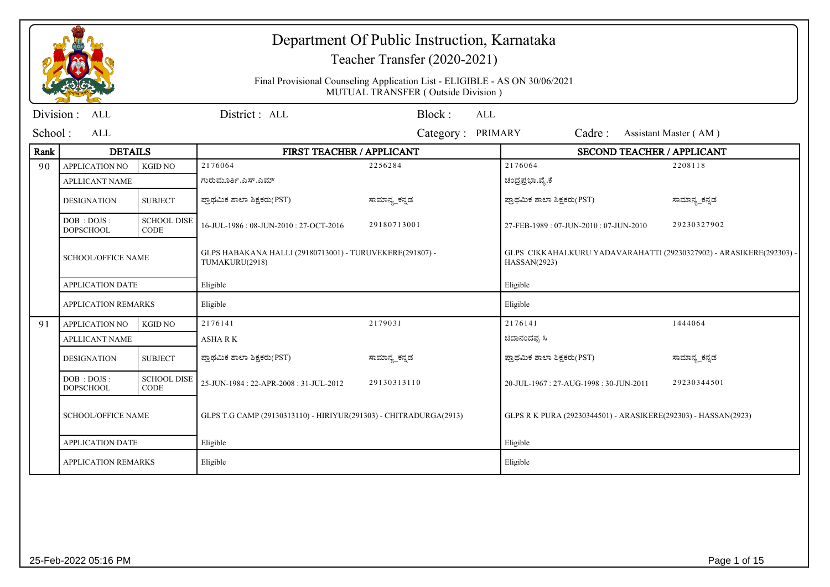|           |                                  |                                   |                                                                            | Department Of Public Instruction, Karnataka<br>Teacher Transfer (2020-2021)<br>Final Provisional Counseling Application List - ELIGIBLE - AS ON 30/06/2021<br>MUTUAL TRANSFER (Outside Division) |                                                                                     |                       |
|-----------|----------------------------------|-----------------------------------|----------------------------------------------------------------------------|--------------------------------------------------------------------------------------------------------------------------------------------------------------------------------------------------|-------------------------------------------------------------------------------------|-----------------------|
|           |                                  |                                   |                                                                            |                                                                                                                                                                                                  |                                                                                     |                       |
| Division: | ALL                              |                                   | District: ALL                                                              | Block:<br><b>ALL</b>                                                                                                                                                                             |                                                                                     |                       |
| School:   | ALL                              |                                   |                                                                            | Category: PRIMARY                                                                                                                                                                                | Cadre:                                                                              | Assistant Master (AM) |
| Rank      | <b>DETAILS</b>                   |                                   | FIRST TEACHER / APPLICANT                                                  |                                                                                                                                                                                                  | SECOND TEACHER / APPLICANT                                                          |                       |
| 90        | <b>APPLICATION NO</b>            | <b>KGID NO</b>                    | 2176064                                                                    | 2256284                                                                                                                                                                                          | 2176064                                                                             | 2208118               |
|           | <b>APLLICANT NAME</b>            |                                   | ಗುರುಮೂರ್ತಿ.ಎಸ್.ಎಮ್                                                         |                                                                                                                                                                                                  | ಚಂದ್ರಪ್ರಭಾ.ವೈ.ಕೆ                                                                    |                       |
|           | <b>DESIGNATION</b>               | <b>SUBJECT</b>                    | ಪ್ರಾಥಮಿಕ ಶಾಲಾ ಶಿಕ್ಷಕರು(PST)                                                | ಸಾಮಾನ್ಯ_ಕನ್ನಡ                                                                                                                                                                                    | ಪ್ರಾಥಮಿಕ ಶಾಲಾ ಶಿಕ್ಷಕರು(PST)                                                         | ಸಾಮಾನ್ಯ_ಕನ್ನಡ         |
|           | DOB : DOJS :<br><b>DOPSCHOOL</b> | <b>SCHOOL DISE</b><br><b>CODE</b> | 16-JUL-1986: 08-JUN-2010: 27-OCT-2016                                      | 29180713001                                                                                                                                                                                      | 27-FEB-1989: 07-JUN-2010: 07-JUN-2010                                               | 29230327902           |
|           | <b>SCHOOL/OFFICE NAME</b>        |                                   | GLPS HABAKANA HALLI (29180713001) - TURUVEKERE(291807) -<br>TUMAKURU(2918) |                                                                                                                                                                                                  | GLPS CIKKAHALKURU YADAVARAHATTI (29230327902) - ARASIKERE(292303) -<br>HASSAN(2923) |                       |
|           | <b>APPLICATION DATE</b>          |                                   | Eligible                                                                   |                                                                                                                                                                                                  | Eligible                                                                            |                       |
|           | <b>APPLICATION REMARKS</b>       |                                   | Eligible                                                                   |                                                                                                                                                                                                  | Eligible                                                                            |                       |
| 91        | <b>APPLICATION NO</b>            | <b>KGID NO</b>                    | 2176141                                                                    | 2179031                                                                                                                                                                                          | 2176141                                                                             | 1444064               |
|           | <b>APLLICANT NAME</b>            |                                   | <b>ASHARK</b>                                                              |                                                                                                                                                                                                  | ಚಿದಾನಂದಪ್ಪ ಸಿ                                                                       |                       |
|           | <b>DESIGNATION</b>               | <b>SUBJECT</b>                    | ಪ್ರಾಥಮಿಕ ಶಾಲಾ ಶಿಕ್ಷಕರು(PST)                                                | ಸಾಮಾನ್ಯ_ಕನ್ನಡ                                                                                                                                                                                    | ಪ್ರಾಥಮಿಕ ಶಾಲಾ ಶಿಕ್ಷಕರು(PST)                                                         | ಸಾಮಾನ್ಯ_ಕನ್ನಡ         |
|           | DOB : DOJS :<br><b>DOPSCHOOL</b> | <b>SCHOOL DISE</b><br><b>CODE</b> | 25-JUN-1984: 22-APR-2008: 31-JUL-2012                                      | 29130313110                                                                                                                                                                                      | 20-JUL-1967: 27-AUG-1998: 30-JUN-2011                                               | 29230344501           |
|           | <b>SCHOOL/OFFICE NAME</b>        |                                   | GLPS T.G CAMP (29130313110) - HIRIYUR(291303) - CHITRADURGA(2913)          |                                                                                                                                                                                                  | GLPS R K PURA (29230344501) - ARASIKERE(292303) - HASSAN(2923)                      |                       |
|           | <b>APPLICATION DATE</b>          |                                   | Eligible                                                                   |                                                                                                                                                                                                  | Eligible                                                                            |                       |
|           | <b>APPLICATION REMARKS</b>       |                                   | Eligible                                                                   |                                                                                                                                                                                                  | Eligible                                                                            |                       |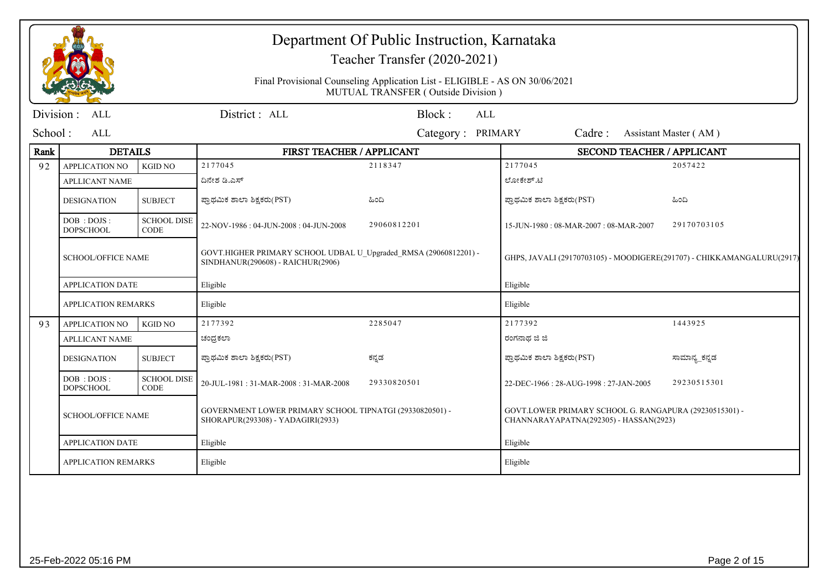|            |                                  |                                   |                                                                                                       | Department Of Public Instruction, Karnataka<br>Teacher Transfer (2020-2021)                                       |                                                                                                  |                       |  |
|------------|----------------------------------|-----------------------------------|-------------------------------------------------------------------------------------------------------|-------------------------------------------------------------------------------------------------------------------|--------------------------------------------------------------------------------------------------|-----------------------|--|
|            |                                  |                                   |                                                                                                       | Final Provisional Counseling Application List - ELIGIBLE - AS ON 30/06/2021<br>MUTUAL TRANSFER (Outside Division) |                                                                                                  |                       |  |
| Division : | <b>ALL</b>                       |                                   | District: ALL                                                                                         | Block:<br>ALL                                                                                                     |                                                                                                  |                       |  |
| School:    | <b>ALL</b>                       |                                   |                                                                                                       | Category: PRIMARY                                                                                                 | Cadre:                                                                                           | Assistant Master (AM) |  |
| Rank       | <b>DETAILS</b>                   |                                   | FIRST TEACHER / APPLICANT                                                                             |                                                                                                                   | <b>SECOND TEACHER / APPLICANT</b>                                                                |                       |  |
| 92         | <b>APPLICATION NO</b>            | <b>KGID NO</b>                    | 2177045                                                                                               | 2118347                                                                                                           | 2177045                                                                                          | 2057422               |  |
|            | <b>APLLICANT NAME</b>            |                                   | ದಿನೇಶ ಡಿ.ಎಸ್                                                                                          |                                                                                                                   | ಲೋಕೇಶ್.ಟಿ                                                                                        |                       |  |
|            | <b>DESIGNATION</b>               | <b>SUBJECT</b>                    | ಪ್ರಾಥಮಿಕ ಶಾಲಾ ಶಿಕ್ಷಕರು(PST)                                                                           | ಹಿಂದಿ                                                                                                             | ಪ್ರಾಥಮಿಕ ಶಾಲಾ ಶಿಕ್ಷಕರು(PST)                                                                      | ಹಿಂದಿ                 |  |
|            | DOB : DOJS :<br><b>DOPSCHOOL</b> | <b>SCHOOL DISE</b><br><b>CODE</b> | 22-NOV-1986: 04-JUN-2008: 04-JUN-2008                                                                 | 29060812201                                                                                                       | 15-JUN-1980: 08-MAR-2007: 08-MAR-2007                                                            | 29170703105           |  |
|            | <b>SCHOOL/OFFICE NAME</b>        |                                   | GOVT.HIGHER PRIMARY SCHOOL UDBAL U_Upgraded_RMSA (29060812201) -<br>SINDHANUR(290608) - RAICHUR(2906) |                                                                                                                   | GHPS, JAVALI (29170703105) - MOODIGERE(291707) - CHIKKAMANGALURU(2917)                           |                       |  |
|            | <b>APPLICATION DATE</b>          |                                   | Eligible                                                                                              |                                                                                                                   | Eligible                                                                                         |                       |  |
|            | <b>APPLICATION REMARKS</b>       |                                   | Eligible                                                                                              |                                                                                                                   | Eligible                                                                                         |                       |  |
| 93         | <b>APPLICATION NO</b>            | <b>KGID NO</b>                    | 2177392                                                                                               | 2285047                                                                                                           | 2177392                                                                                          | 1443925               |  |
|            | <b>APLLICANT NAME</b>            |                                   | ಚಂದ್ರಕಲಾ                                                                                              |                                                                                                                   | ರಂಗನಾಥ ಜಿ ಜಿ                                                                                     |                       |  |
|            | <b>DESIGNATION</b>               | <b>SUBJECT</b>                    | ಪ್ರಾಥಮಿಕ ಶಾಲಾ ಶಿಕ್ಷಕರು(PST)                                                                           | ಕನ್ನಡ                                                                                                             | ಪ್ರಾಥಮಿಕ ಶಾಲಾ ಶಿಕ್ಷಕರು(PST)                                                                      | ಸಾಮಾನ್ಯ_ಕನ್ನಡ         |  |
|            | DOB: DOJS:<br><b>DOPSCHOOL</b>   | <b>SCHOOL DISE</b><br>CODE        | 20-JUL-1981: 31-MAR-2008: 31-MAR-2008                                                                 | 29330820501                                                                                                       | 22-DEC-1966: 28-AUG-1998: 27-JAN-2005                                                            | 29230515301           |  |
|            | <b>SCHOOL/OFFICE NAME</b>        |                                   | GOVERNMENT LOWER PRIMARY SCHOOL TIPNATGI (29330820501) -<br>SHORAPUR(293308) - YADAGIRI(2933)         |                                                                                                                   | GOVT.LOWER PRIMARY SCHOOL G. RANGAPURA (29230515301) -<br>CHANNARAYAPATNA(292305) - HASSAN(2923) |                       |  |
|            | <b>APPLICATION DATE</b>          |                                   | Eligible                                                                                              |                                                                                                                   | Eligible                                                                                         |                       |  |
|            | <b>APPLICATION REMARKS</b>       |                                   | Eligible                                                                                              |                                                                                                                   | Eligible                                                                                         |                       |  |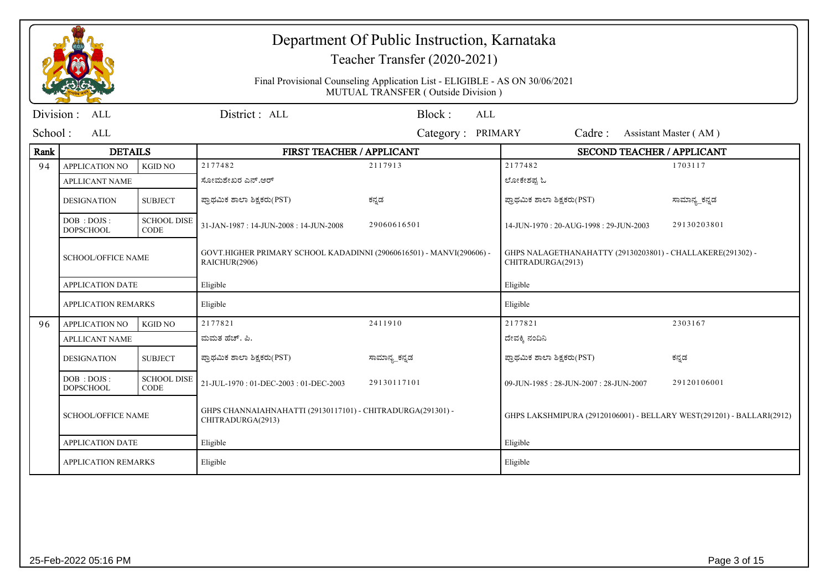|           |                                  |                                   | Department Of Public Instruction, Karnataka<br>Teacher Transfer (2020-2021)           |                                                                                                                   |                                                                                 |                       |  |
|-----------|----------------------------------|-----------------------------------|---------------------------------------------------------------------------------------|-------------------------------------------------------------------------------------------------------------------|---------------------------------------------------------------------------------|-----------------------|--|
|           |                                  |                                   |                                                                                       | Final Provisional Counseling Application List - ELIGIBLE - AS ON 30/06/2021<br>MUTUAL TRANSFER (Outside Division) |                                                                                 |                       |  |
| Division: | ALL                              |                                   | District: ALL                                                                         | Block:<br><b>ALL</b>                                                                                              |                                                                                 |                       |  |
| School:   | ALL                              |                                   |                                                                                       | Category: PRIMARY                                                                                                 | Cadre:                                                                          | Assistant Master (AM) |  |
| Rank      | <b>DETAILS</b>                   |                                   | FIRST TEACHER / APPLICANT                                                             |                                                                                                                   | SECOND TEACHER / APPLICANT                                                      |                       |  |
| 94        | <b>APPLICATION NO</b>            | <b>KGID NO</b>                    | 2177482                                                                               | 2117913                                                                                                           | 2177482                                                                         | 1703117               |  |
|           | <b>APLLICANT NAME</b>            |                                   | ಸೋಮಶೇಖರ ಎನ್.ಆರ್                                                                       |                                                                                                                   | ಲೋಕೇಶಪ್ರ ಓ                                                                      |                       |  |
|           | <b>DESIGNATION</b>               | <b>SUBJECT</b>                    | ಪ್ರಾಥಮಿಕ ಶಾಲಾ ಶಿಕ್ಷಕರು(PST)                                                           | ಕನ್ನಡ                                                                                                             | ಪ್ರಾಥಮಿಕ ಶಾಲಾ ಶಿಕ್ಷಕರು(PST)                                                     | ಸಾಮಾನ್ಯ_ಕನ್ನಡ         |  |
|           | DOB: DOJS:<br><b>DOPSCHOOL</b>   | <b>SCHOOL DISE</b><br><b>CODE</b> | 31-JAN-1987: 14-JUN-2008: 14-JUN-2008                                                 | 29060616501                                                                                                       | 14-JUN-1970: 20-AUG-1998: 29-JUN-2003                                           | 29130203801           |  |
|           | <b>SCHOOL/OFFICE NAME</b>        |                                   | GOVT.HIGHER PRIMARY SCHOOL KADADINNI (29060616501) - MANVI(290606) -<br>RAICHUR(2906) |                                                                                                                   | GHPS NALAGETHANAHATTY (29130203801) - CHALLAKERE(291302) -<br>CHITRADURGA(2913) |                       |  |
|           | <b>APPLICATION DATE</b>          |                                   | Eligible                                                                              |                                                                                                                   | Eligible                                                                        |                       |  |
|           | <b>APPLICATION REMARKS</b>       |                                   | Eligible                                                                              |                                                                                                                   | Eligible                                                                        |                       |  |
| 96        | <b>APPLICATION NO</b>            | <b>KGID NO</b>                    | 2177821                                                                               | 2411910                                                                                                           | 2177821                                                                         | 2303167               |  |
|           | <b>APLLICANT NAME</b>            |                                   | ಮಮತ ಹೆಚ್. ಪಿ.                                                                         |                                                                                                                   | ದೇವಕ್ಕಿ ನಂದಿನಿ                                                                  |                       |  |
|           | <b>DESIGNATION</b>               | <b>SUBJECT</b>                    | ಪ್ರಾಥಮಿಕ ಶಾಲಾ ಶಿಕ್ಷಕರು(PST)                                                           | ಸಾಮಾನ್ಯ_ಕನ್ನಡ                                                                                                     | ಪ್ರಾಥಮಿಕ ಶಾಲಾ ಶಿಕ್ಷಕರು(PST)                                                     | ಕನ್ನಡ                 |  |
|           | DOB : DOJS :<br><b>DOPSCHOOL</b> | <b>SCHOOL DISE</b><br><b>CODE</b> | 21-JUL-1970: 01-DEC-2003: 01-DEC-2003                                                 | 29130117101                                                                                                       | 09-JUN-1985: 28-JUN-2007: 28-JUN-2007                                           | 29120106001           |  |
|           | <b>SCHOOL/OFFICE NAME</b>        |                                   | GHPS CHANNAIAHNAHATTI (29130117101) - CHITRADURGA(291301) -<br>CHITRADURGA(2913)      |                                                                                                                   | GHPS LAKSHMIPURA (29120106001) - BELLARY WEST(291201) - BALLARI(2912)           |                       |  |
|           | <b>APPLICATION DATE</b>          |                                   | Eligible                                                                              |                                                                                                                   | Eligible                                                                        |                       |  |
|           | <b>APPLICATION REMARKS</b>       |                                   | Eligible                                                                              |                                                                                                                   | Eligible                                                                        |                       |  |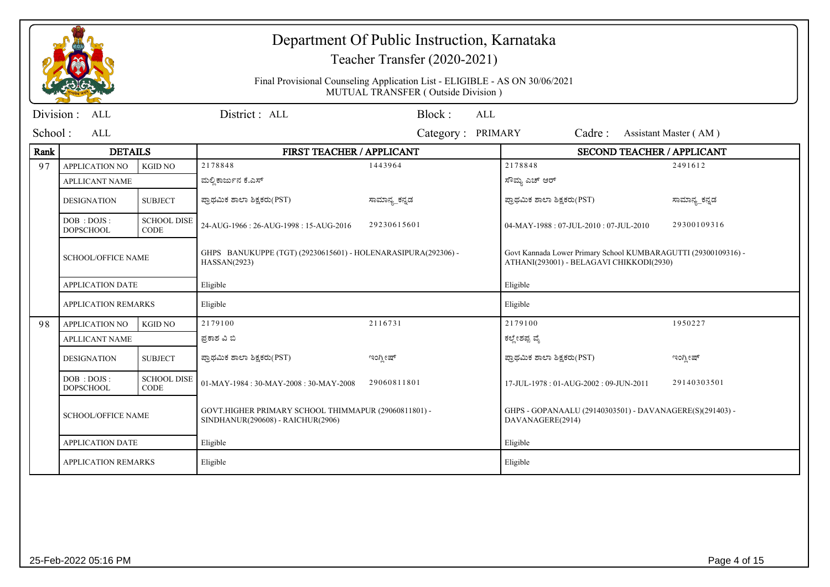|           |                                  |                                   |                                                                                           | Department Of Public Instruction, Karnataka<br>Teacher Transfer (2020-2021)                                       |                                                                                                            |                       |  |
|-----------|----------------------------------|-----------------------------------|-------------------------------------------------------------------------------------------|-------------------------------------------------------------------------------------------------------------------|------------------------------------------------------------------------------------------------------------|-----------------------|--|
|           |                                  |                                   |                                                                                           | Final Provisional Counseling Application List - ELIGIBLE - AS ON 30/06/2021<br>MUTUAL TRANSFER (Outside Division) |                                                                                                            |                       |  |
| Division: | <b>ALL</b>                       |                                   | District: ALL                                                                             | Block:<br><b>ALL</b>                                                                                              |                                                                                                            |                       |  |
| School:   | <b>ALL</b>                       |                                   |                                                                                           | Category: PRIMARY                                                                                                 | Cadre:                                                                                                     | Assistant Master (AM) |  |
| Rank      | <b>DETAILS</b>                   |                                   | FIRST TEACHER / APPLICANT                                                                 |                                                                                                                   | SECOND TEACHER / APPLICANT                                                                                 |                       |  |
| 97        | <b>APPLICATION NO</b>            | <b>KGID NO</b>                    | 2178848                                                                                   | 1443964                                                                                                           | 2178848                                                                                                    | 2491612               |  |
|           | <b>APLLICANT NAME</b>            |                                   | ಮಲ್ಲಿ ಕಾರ್ಜುನ ಕೆ.ಎಸ್                                                                      |                                                                                                                   | ಸೌಮ್ಯ ಎಚ್ ಆರ್                                                                                              |                       |  |
|           | <b>DESIGNATION</b>               | <b>SUBJECT</b>                    | ಪ್ರಾಥಮಿಕ ಶಾಲಾ ಶಿಕ್ಷಕರು(PST)                                                               | ಸಾಮಾನ್ಯ_ಕನ್ನಡ                                                                                                     | ಪ್ರಾಥಮಿಕ ಶಾಲಾ ಶಿಕ್ಷಕರು(PST)                                                                                | ಸಾಮಾನ್ಯ_ಕನ್ನಡ         |  |
|           | DOB: DOJS:<br><b>DOPSCHOOL</b>   | <b>SCHOOL DISE</b><br><b>CODE</b> | 24-AUG-1966: 26-AUG-1998: 15-AUG-2016                                                     | 29230615601                                                                                                       | 04-MAY-1988: 07-JUL-2010: 07-JUL-2010                                                                      | 29300109316           |  |
|           | <b>SCHOOL/OFFICE NAME</b>        |                                   | GHPS BANUKUPPE (TGT) (29230615601) - HOLENARASIPURA(292306) -<br>HASSAN(2923)             |                                                                                                                   | Govt Kannada Lower Primary School KUMBARAGUTTI (29300109316) -<br>ATHANI(293001) - BELAGAVI CHIKKODI(2930) |                       |  |
|           | <b>APPLICATION DATE</b>          |                                   | Eligible                                                                                  |                                                                                                                   | Eligible                                                                                                   |                       |  |
|           | <b>APPLICATION REMARKS</b>       |                                   | Eligible                                                                                  |                                                                                                                   | Eligible                                                                                                   |                       |  |
| 98        | <b>APPLICATION NO</b>            | <b>KGID NO</b>                    | 2179100                                                                                   | 2116731                                                                                                           | 2179100                                                                                                    | 1950227               |  |
|           | <b>APLLICANT NAME</b>            |                                   | ಪ್ರಕಾಶ ವಿ ಬಿ                                                                              |                                                                                                                   | ಕಲ್ಲೇಶಪ್ಪ ವೈ                                                                                               |                       |  |
|           | <b>DESIGNATION</b>               | <b>SUBJECT</b>                    | ಪ್ರಾಥಮಿಕ ಶಾಲಾ ಶಿಕ್ಷಕರು(PST)                                                               | ಇಂಗ್ಲೀಷ್                                                                                                          | ಪ್ರಾಥಮಿಕ ಶಾಲಾ ಶಿಕ್ಷಕರು(PST)                                                                                | ಇಂಗ್ಲೀಷ್              |  |
|           | DOB : DOJS :<br><b>DOPSCHOOL</b> | <b>SCHOOL DISE</b><br><b>CODE</b> | $01-MAY-1984:30-MAY-2008:30-MAY-2008$                                                     | 29060811801                                                                                                       | 17-JUL-1978: 01-AUG-2002: 09-JUN-2011                                                                      | 29140303501           |  |
|           | <b>SCHOOL/OFFICE NAME</b>        |                                   | GOVT.HIGHER PRIMARY SCHOOL THIMMAPUR (29060811801) -<br>SINDHANUR(290608) - RAICHUR(2906) |                                                                                                                   | GHPS - GOPANAALU (29140303501) - DAVANAGERE(S)(291403) -<br>DAVANAGERE(2914)                               |                       |  |
|           | <b>APPLICATION DATE</b>          |                                   | Eligible                                                                                  |                                                                                                                   | Eligible                                                                                                   |                       |  |
|           | <b>APPLICATION REMARKS</b>       |                                   | Eligible                                                                                  |                                                                                                                   | Eligible                                                                                                   |                       |  |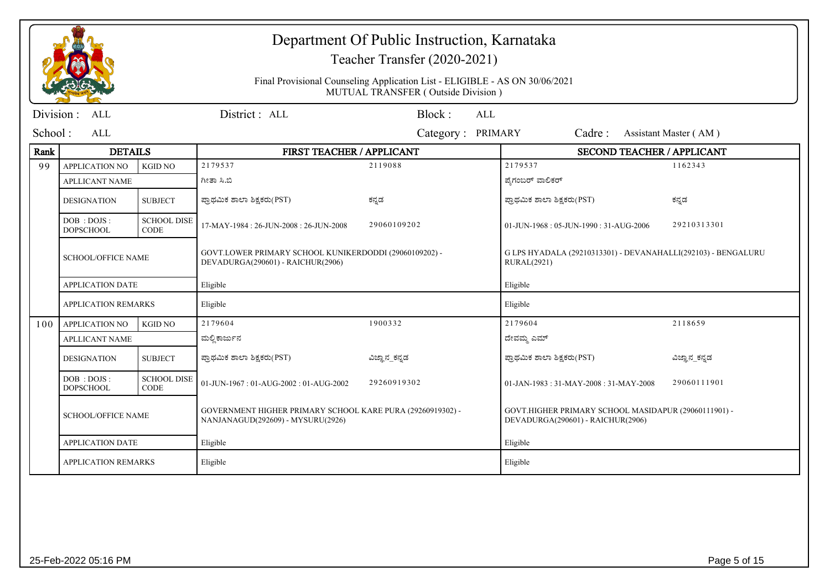|           |                                |                                   |                                                                                                 | Department Of Public Instruction, Karnataka<br>Teacher Transfer (2020-2021)                                       |                                                                                           |                       |  |
|-----------|--------------------------------|-----------------------------------|-------------------------------------------------------------------------------------------------|-------------------------------------------------------------------------------------------------------------------|-------------------------------------------------------------------------------------------|-----------------------|--|
|           |                                |                                   |                                                                                                 | Final Provisional Counseling Application List - ELIGIBLE - AS ON 30/06/2021<br>MUTUAL TRANSFER (Outside Division) |                                                                                           |                       |  |
| Division: | ALL                            |                                   | District: ALL                                                                                   | Block:<br>ALL                                                                                                     |                                                                                           |                       |  |
| School:   | ALL                            |                                   |                                                                                                 | Category: PRIMARY                                                                                                 | Cadre:                                                                                    | Assistant Master (AM) |  |
| Rank      | <b>DETAILS</b>                 |                                   | FIRST TEACHER / APPLICANT                                                                       |                                                                                                                   | <b>SECOND TEACHER / APPLICANT</b>                                                         |                       |  |
| 99        | <b>APPLICATION NO</b>          | <b>KGID NO</b>                    | 2179537                                                                                         | 2119088                                                                                                           | 2179537                                                                                   | 1162343               |  |
|           | <b>APLLICANT NAME</b>          |                                   | ಗೀತಾ ಸಿ.ಬಿ                                                                                      |                                                                                                                   | ಪ್ರೆಗಂಬರ್ ವಾಲಿಕರ್                                                                         |                       |  |
|           | <b>DESIGNATION</b>             | <b>SUBJECT</b>                    | ಪ್ರಾಥಮಿಕ ಶಾಲಾ ಶಿಕ್ಷಕರು(PST)                                                                     | ಕನ್ನಡ                                                                                                             | ಪ್ರಾಥಮಿಕ ಶಾಲಾ ಶಿಕ್ಷಕರು(PST)                                                               | ಕನ್ನಡ                 |  |
|           | DOB: DOJS:<br><b>DOPSCHOOL</b> | <b>SCHOOL DISE</b><br><b>CODE</b> | 17-MAY-1984: 26-JUN-2008: 26-JUN-2008                                                           | 29060109202                                                                                                       | 01-JUN-1968: 05-JUN-1990: 31-AUG-2006                                                     | 29210313301           |  |
|           | <b>SCHOOL/OFFICE NAME</b>      |                                   | GOVT.LOWER PRIMARY SCHOOL KUNIKERDODDI (29060109202) -<br>DEVADURGA(290601) - RAICHUR(2906)     |                                                                                                                   | G LPS HYADALA (29210313301) - DEVANAHALLI(292103) - BENGALURU<br><b>RURAL(2921)</b>       |                       |  |
|           | <b>APPLICATION DATE</b>        |                                   | Eligible                                                                                        |                                                                                                                   | Eligible                                                                                  |                       |  |
|           | <b>APPLICATION REMARKS</b>     |                                   | Eligible                                                                                        |                                                                                                                   | Eligible                                                                                  |                       |  |
| 100       | <b>APPLICATION NO</b>          | <b>KGID NO</b>                    | 2179604                                                                                         | 1900332                                                                                                           | 2179604                                                                                   | 2118659               |  |
|           | <b>APLLICANT NAME</b>          |                                   | ಮಲ್ಲಿ ಕಾರ್ಜುನ                                                                                   |                                                                                                                   | ದೇವಮ್ಮ ಎಮ್                                                                                |                       |  |
|           | <b>DESIGNATION</b>             | <b>SUBJECT</b>                    | ಪ್ರಾಥಮಿಕ ಶಾಲಾ ಶಿಕ್ಷಕರು(PST)                                                                     | ವಿಜ್ಞಾನ_ಕನ್ನಡ                                                                                                     | ಪ್ರಾಥಮಿಕ ಶಾಲಾ ಶಿಕ್ಷಕರು(PST)                                                               | ವಿಜ್ಞಾನ_ಕನ್ನಡ         |  |
|           | DOB: DOJS:<br><b>DOPSCHOOL</b> | <b>SCHOOL DISE</b><br><b>CODE</b> | $01$ -JUN-1967 : $01$ -AUG-2002 : $01$ -AUG-2002                                                | 29260919302                                                                                                       | $01$ -JAN-1983 : 31-MAY-2008 : 31-MAY-2008                                                | 29060111901           |  |
|           | <b>SCHOOL/OFFICE NAME</b>      |                                   | GOVERNMENT HIGHER PRIMARY SCHOOL KARE PURA (29260919302) -<br>NANJANAGUD(292609) - MYSURU(2926) |                                                                                                                   | GOVT.HIGHER PRIMARY SCHOOL MASIDAPUR (29060111901) -<br>DEVADURGA(290601) - RAICHUR(2906) |                       |  |
|           | <b>APPLICATION DATE</b>        |                                   | Eligible                                                                                        |                                                                                                                   | Eligible                                                                                  |                       |  |
|           | <b>APPLICATION REMARKS</b>     |                                   | Eligible                                                                                        |                                                                                                                   | Eligible                                                                                  |                       |  |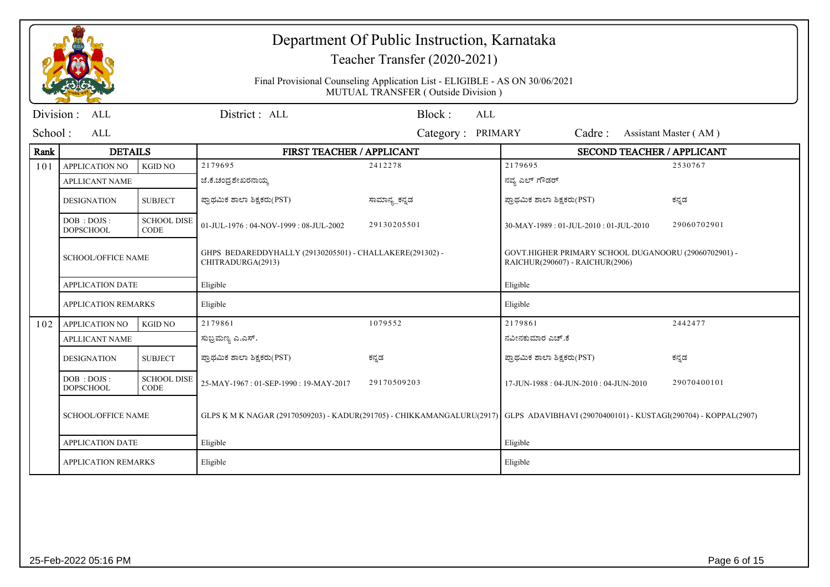|            |                                  |                                   |                                                                                                                                       | Department Of Public Instruction, Karnataka<br>Teacher Transfer (2020-2021)                                       |                                                                                         |                       |
|------------|----------------------------------|-----------------------------------|---------------------------------------------------------------------------------------------------------------------------------------|-------------------------------------------------------------------------------------------------------------------|-----------------------------------------------------------------------------------------|-----------------------|
|            |                                  |                                   |                                                                                                                                       | Final Provisional Counseling Application List - ELIGIBLE - AS ON 30/06/2021<br>MUTUAL TRANSFER (Outside Division) |                                                                                         |                       |
| Division : | <b>ALL</b>                       |                                   | District: ALL                                                                                                                         | Block:<br><b>ALL</b>                                                                                              |                                                                                         |                       |
| School:    | <b>ALL</b>                       |                                   |                                                                                                                                       | Category: PRIMARY                                                                                                 | Cadre:                                                                                  | Assistant Master (AM) |
| Rank       | <b>DETAILS</b>                   |                                   | FIRST TEACHER / APPLICANT                                                                                                             |                                                                                                                   | SECOND TEACHER / APPLICANT                                                              |                       |
| 101        | <b>APPLICATION NO</b>            | <b>KGID NO</b>                    | 2179695                                                                                                                               | 2412278                                                                                                           | 2179695                                                                                 | 2530767               |
|            | <b>APLLICANT NAME</b>            |                                   | ಜೆ.ಕೆ.ಚಂದ್ರಶೇಖರನಾಯ್ತ                                                                                                                  |                                                                                                                   | ನವ್ಯ ಎಲ್ ಗೌಡರ್                                                                          |                       |
|            | <b>DESIGNATION</b>               | <b>SUBJECT</b>                    | ಪ್ರಾಥಮಿಕ ಶಾಲಾ ಶಿಕ್ಷಕರು(PST)                                                                                                           | ಸಾಮಾನ್ಯ ಕನ್ನಡ                                                                                                     | ಪ್ರಾಥಮಿಕ ಶಾಲಾ ಶಿಕ್ಷಕರು(PST)                                                             | ಕನ್ನಡ                 |
|            | DOB : DOJS :<br><b>DOPSCHOOL</b> | <b>SCHOOL DISE</b><br><b>CODE</b> | 01-JUL-1976: 04-NOV-1999: 08-JUL-2002                                                                                                 | 29130205501                                                                                                       | 30-MAY-1989: 01-JUL-2010: 01-JUL-2010                                                   | 29060702901           |
|            | <b>SCHOOL/OFFICE NAME</b>        |                                   | GHPS BEDAREDDYHALLY (29130205501) - CHALLAKERE(291302) -<br>CHITRADURGA(2913)                                                         |                                                                                                                   | GOVT.HIGHER PRIMARY SCHOOL DUGANOORU (29060702901) -<br>RAICHUR(290607) - RAICHUR(2906) |                       |
|            | <b>APPLICATION DATE</b>          |                                   | Eligible                                                                                                                              |                                                                                                                   | Eligible                                                                                |                       |
|            | <b>APPLICATION REMARKS</b>       |                                   | Eligible                                                                                                                              |                                                                                                                   | Eligible                                                                                |                       |
| 102        | <b>APPLICATION NO</b>            | <b>KGID NO</b>                    | 2179861                                                                                                                               | 1079552                                                                                                           | 2179861                                                                                 | 2442477               |
|            | <b>APLLICANT NAME</b>            |                                   | ಸುಬ್ರಮಣ್ಯ ಎ.ಎಸ್.                                                                                                                      |                                                                                                                   | ನವೀನಕುಮಾರ ಎಚ್.ಕೆ                                                                        |                       |
|            | <b>DESIGNATION</b>               | <b>SUBJECT</b>                    | ಪ್ರಾಥಮಿಕ ಶಾಲಾ ಶಿಕ್ಷಕರು(PST)                                                                                                           | ಕನ್ನಡ                                                                                                             | ಪ್ರಾಥಮಿಕ ಶಾಲಾ ಶಿಕ್ಷಕರು(PST)                                                             | ಕನ್ನಡ                 |
|            | DOB: DOJS:<br><b>DOPSCHOOL</b>   | <b>SCHOOL DISE</b><br><b>CODE</b> | 25-MAY-1967: 01-SEP-1990: 19-MAY-2017                                                                                                 | 29170509203                                                                                                       | 17-JUN-1988: 04-JUN-2010: 04-JUN-2010                                                   | 29070400101           |
|            | <b>SCHOOL/OFFICE NAME</b>        |                                   | GLPS K M K NAGAR (29170509203) - KADUR(291705) - CHIKKAMANGALURU(2917) GLPS ADAVIBHAVI (29070400101) - KUSTAGI(290704) - KOPPAL(2907) |                                                                                                                   |                                                                                         |                       |
|            | <b>APPLICATION DATE</b>          |                                   | Eligible                                                                                                                              |                                                                                                                   | Eligible                                                                                |                       |
|            | <b>APPLICATION REMARKS</b>       |                                   | Eligible                                                                                                                              |                                                                                                                   | Eligible                                                                                |                       |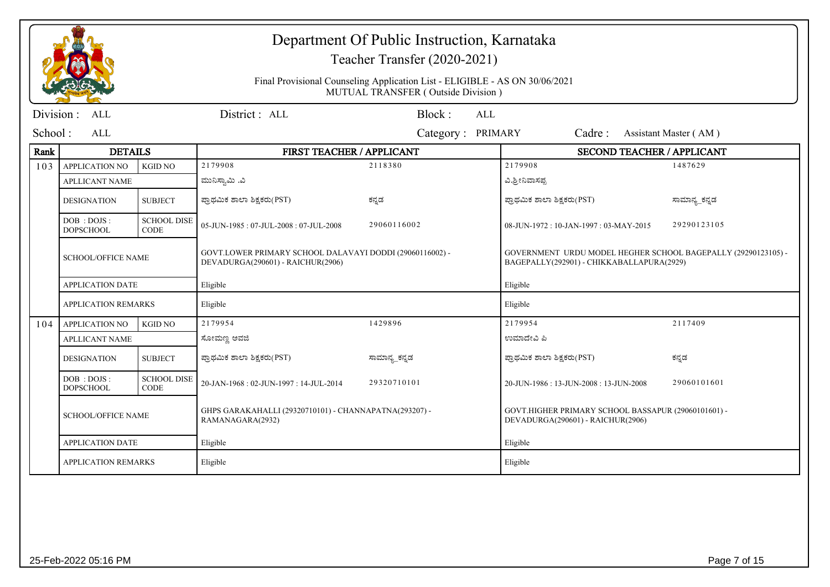|            |                                  |                                   |                                                                                               | Department Of Public Instruction, Karnataka<br>Teacher Transfer (2020-2021)                                       |                                                                                                            |                       |
|------------|----------------------------------|-----------------------------------|-----------------------------------------------------------------------------------------------|-------------------------------------------------------------------------------------------------------------------|------------------------------------------------------------------------------------------------------------|-----------------------|
|            |                                  |                                   |                                                                                               | Final Provisional Counseling Application List - ELIGIBLE - AS ON 30/06/2021<br>MUTUAL TRANSFER (Outside Division) |                                                                                                            |                       |
| Division : | ALL                              |                                   | District: ALL                                                                                 | Block:<br>AI.                                                                                                     |                                                                                                            |                       |
| School:    | AI.                              |                                   |                                                                                               | Category: PRIMARY                                                                                                 | Cadre:                                                                                                     | Assistant Master (AM) |
| Rank       | <b>DETAILS</b>                   |                                   | FIRST TEACHER / APPLICANT                                                                     |                                                                                                                   | SECOND TEACHER / APPLICANT                                                                                 |                       |
| 103        | <b>APPLICATION NO</b>            | <b>KGID NO</b>                    | 2179908                                                                                       | 2118380                                                                                                           | 2179908                                                                                                    | 1487629               |
|            | <b>APLLICANT NAME</b>            |                                   | ಮುನಿಸ್ವಾಮಿ .ವಿ                                                                                |                                                                                                                   | ವಿ.ಶ್ರೀನಿವಾಸಪ್ಪ                                                                                            |                       |
|            | <b>DESIGNATION</b>               | <b>SUBJECT</b>                    | ಪ್ರಾಥಮಿಕ ಶಾಲಾ ಶಿಕ್ಷಕರು(PST)                                                                   | ಕನ್ನಡ                                                                                                             | ಪ್ರಾಥಮಿಕ ಶಾಲಾ ಶಿಕ್ಷಕರು(PST)                                                                                | ಸಾಮಾನ್ಯ_ಕನ್ನಡ         |
|            | DOB : DOJS :<br><b>DOPSCHOOL</b> | <b>SCHOOL DISE</b><br><b>CODE</b> | 05-JUN-1985: 07-JUL-2008: 07-JUL-2008                                                         | 29060116002                                                                                                       | 08-JUN-1972: 10-JAN-1997: 03-MAY-2015                                                                      | 29290123105           |
|            | <b>SCHOOL/OFFICE NAME</b>        |                                   | GOVT.LOWER PRIMARY SCHOOL DALAVAYI DODDI (29060116002) -<br>DEVADURGA(290601) - RAICHUR(2906) |                                                                                                                   | GOVERNMENT URDU MODEL HEGHER SCHOOL BAGEPALLY (29290123105) -<br>BAGEPALLY(292901) - CHIKKABALLAPURA(2929) |                       |
|            | <b>APPLICATION DATE</b>          |                                   | Eligible                                                                                      |                                                                                                                   | Eligible                                                                                                   |                       |
|            | <b>APPLICATION REMARKS</b>       |                                   | Eligible                                                                                      |                                                                                                                   | Eligible                                                                                                   |                       |
| 104        | <b>APPLICATION NO</b>            | <b>KGID NO</b>                    | 2179954                                                                                       | 1429896                                                                                                           | 2179954                                                                                                    | 2117409               |
|            | <b>APLLICANT NAME</b>            |                                   | ಸೋಮಣ್ಣ ಅವಜಿ                                                                                   |                                                                                                                   | ಉಮಾದೇವಿ ಪಿ                                                                                                 |                       |
|            | <b>DESIGNATION</b>               | <b>SUBJECT</b>                    | ಪ್ರಾಥಮಿಕ ಶಾಲಾ ಶಿಕ್ಷಕರು(PST)                                                                   | ಸಾಮಾನ್ಯ_ಕನ್ನಡ                                                                                                     | ಪ್ರಾಥಮಿಕ ಶಾಲಾ ಶಿಕ್ಷಕರು(PST)                                                                                | ಕನ್ನಡ                 |
|            | DOB: DOJS:<br><b>DOPSCHOOL</b>   | <b>SCHOOL DISE</b><br><b>CODE</b> | 20-JAN-1968: 02-JUN-1997: 14-JUL-2014                                                         | 29320710101                                                                                                       | 20-JUN-1986: 13-JUN-2008: 13-JUN-2008                                                                      | 29060101601           |
|            | <b>SCHOOL/OFFICE NAME</b>        |                                   | GHPS GARAKAHALLI (29320710101) - CHANNAPATNA(293207) -<br>RAMANAGARA(2932)                    |                                                                                                                   | GOVT.HIGHER PRIMARY SCHOOL BASSAPUR (29060101601) -<br>DEVADURGA(290601) - RAICHUR(2906)                   |                       |
|            | <b>APPLICATION DATE</b>          |                                   | Eligible                                                                                      |                                                                                                                   | Eligible                                                                                                   |                       |
|            | <b>APPLICATION REMARKS</b>       |                                   | Eligible                                                                                      |                                                                                                                   | Eligible                                                                                                   |                       |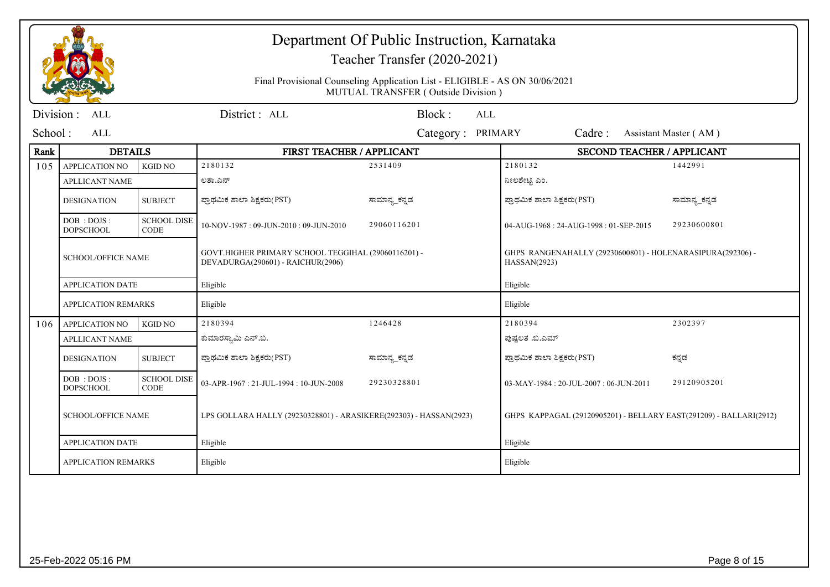|           |                                  |                                   |                                                                                          | Department Of Public Instruction, Karnataka<br>Teacher Transfer (2020-2021)<br>Final Provisional Counseling Application List - ELIGIBLE - AS ON 30/06/2021 |                                                                            |                       |  |  |
|-----------|----------------------------------|-----------------------------------|------------------------------------------------------------------------------------------|------------------------------------------------------------------------------------------------------------------------------------------------------------|----------------------------------------------------------------------------|-----------------------|--|--|
|           |                                  |                                   |                                                                                          | MUTUAL TRANSFER (Outside Division)                                                                                                                         |                                                                            |                       |  |  |
| Division: | <b>ALL</b>                       |                                   | District: ALL                                                                            | Block:<br><b>ALL</b>                                                                                                                                       |                                                                            |                       |  |  |
| School:   | <b>ALL</b>                       |                                   |                                                                                          | Category: PRIMARY                                                                                                                                          | Cadre:                                                                     | Assistant Master (AM) |  |  |
| Rank      | <b>DETAILS</b>                   |                                   | FIRST TEACHER / APPLICANT                                                                |                                                                                                                                                            | <b>SECOND TEACHER / APPLICANT</b>                                          |                       |  |  |
| 105       | <b>APPLICATION NO</b>            | <b>KGID NO</b>                    | 2180132                                                                                  | 2531409                                                                                                                                                    | 2180132                                                                    | 1442991               |  |  |
|           | <b>APLLICANT NAME</b>            |                                   | ಲತಾ.ಎನ್                                                                                  |                                                                                                                                                            | ನೀಲಶೇಟ್ಟಿ ಎಂ.                                                              |                       |  |  |
|           | <b>DESIGNATION</b>               | <b>SUBJECT</b>                    | ಪ್ರಾಥಮಿಕ ಶಾಲಾ ಶಿಕ್ಷಕರು(PST)                                                              | ಸಾಮಾನ್ಯ_ಕನ್ನಡ                                                                                                                                              | ಪ್ರಾಥಮಿಕ ಶಾಲಾ ಶಿಕ್ಷಕರು(PST)                                                | ಸಾಮಾನ್ಯ_ಕನ್ನಡ         |  |  |
|           | DOB : DOJS :<br><b>DOPSCHOOL</b> | <b>SCHOOL DISE</b><br><b>CODE</b> | 10-NOV-1987: 09-JUN-2010: 09-JUN-2010                                                    | 29060116201                                                                                                                                                | 04-AUG-1968: 24-AUG-1998: 01-SEP-2015                                      | 29230600801           |  |  |
|           | <b>SCHOOL/OFFICE NAME</b>        |                                   | GOVT.HIGHER PRIMARY SCHOOL TEGGIHAL (29060116201) -<br>DEVADURGA(290601) - RAICHUR(2906) |                                                                                                                                                            | GHPS RANGENAHALLY (29230600801) - HOLENARASIPURA(292306) -<br>HASSAN(2923) |                       |  |  |
|           | <b>APPLICATION DATE</b>          |                                   | Eligible                                                                                 |                                                                                                                                                            | Eligible                                                                   |                       |  |  |
|           | <b>APPLICATION REMARKS</b>       |                                   | Eligible                                                                                 |                                                                                                                                                            | Eligible                                                                   |                       |  |  |
| 106       | <b>APPLICATION NO</b>            | <b>KGID NO</b>                    | 2180394                                                                                  | 1246428                                                                                                                                                    | 2180394                                                                    | 2302397               |  |  |
|           | <b>APLLICANT NAME</b>            |                                   | ಕುಮಾರಸ್ವಾಮಿ ಎನ್.ಬಿ.                                                                      |                                                                                                                                                            | ಪುಷ್ಪಲತ .ಬಿ.ಎಮ್                                                            |                       |  |  |
|           | <b>DESIGNATION</b>               | <b>SUBJECT</b>                    | ಪ್ರಾಥಮಿಕ ಶಾಲಾ ಶಿಕ್ಷಕರು(PST)                                                              | ಸಾಮಾನ್ಯ_ಕನ್ನಡ                                                                                                                                              | ಪ್ರಾಥಮಿಕ ಶಾಲಾ ಶಿಕ್ಷಕರು(PST)                                                | ಕನ್ನಡ                 |  |  |
|           | DOB : DOJS :<br><b>DOPSCHOOL</b> | <b>SCHOOL DISE</b><br><b>CODE</b> | 03-APR-1967: 21-JUL-1994: 10-JUN-2008                                                    | 29230328801                                                                                                                                                | 03-MAY-1984: 20-JUL-2007: 06-JUN-2011                                      | 29120905201           |  |  |
|           | <b>SCHOOL/OFFICE NAME</b>        |                                   | LPS GOLLARA HALLY (29230328801) - ARASIKERE(292303) - HASSAN(2923)                       |                                                                                                                                                            | GHPS KAPPAGAL (29120905201) - BELLARY EAST(291209) - BALLARI(2912)         |                       |  |  |
|           | <b>APPLICATION DATE</b>          |                                   | Eligible                                                                                 |                                                                                                                                                            | Eligible                                                                   |                       |  |  |
|           | <b>APPLICATION REMARKS</b>       |                                   | Eligible                                                                                 |                                                                                                                                                            | Eligible                                                                   |                       |  |  |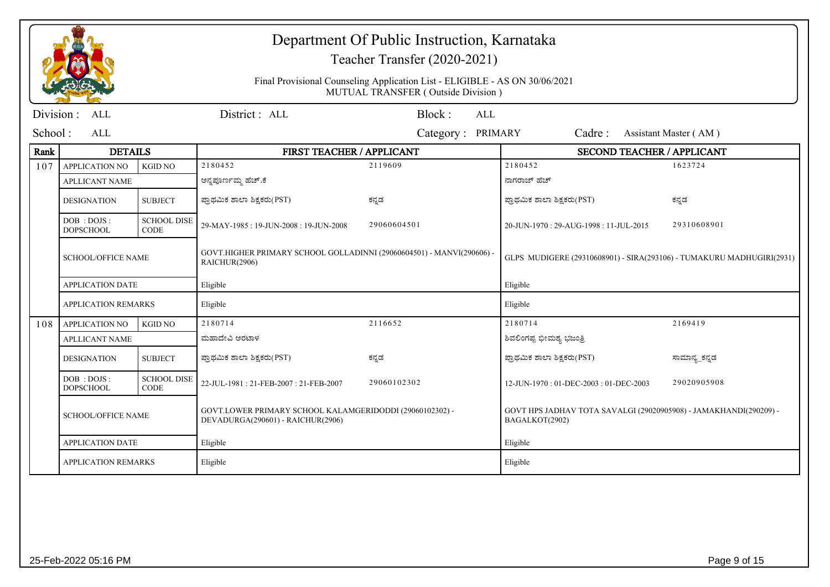|           |                                  |                                   |                                                                                               | Department Of Public Instruction, Karnataka<br>Teacher Transfer (2020-2021)<br>Final Provisional Counseling Application List - ELIGIBLE - AS ON 30/06/2021<br>MUTUAL TRANSFER (Outside Division) |                                                                                     |                       |
|-----------|----------------------------------|-----------------------------------|-----------------------------------------------------------------------------------------------|--------------------------------------------------------------------------------------------------------------------------------------------------------------------------------------------------|-------------------------------------------------------------------------------------|-----------------------|
| Division: | <b>ALL</b>                       |                                   | District: ALL                                                                                 | Block:<br><b>ALL</b>                                                                                                                                                                             |                                                                                     |                       |
| School:   | <b>ALL</b>                       |                                   |                                                                                               | Category: PRIMARY                                                                                                                                                                                | Cadre:                                                                              | Assistant Master (AM) |
| Rank      | <b>DETAILS</b>                   |                                   | FIRST TEACHER / APPLICANT                                                                     |                                                                                                                                                                                                  | <b>SECOND TEACHER / APPLICANT</b>                                                   |                       |
| 107       | <b>APPLICATION NO</b>            | <b>KGID NO</b>                    | 2180452                                                                                       | 2119609                                                                                                                                                                                          | 2180452                                                                             | 1623724               |
|           | <b>APLLICANT NAME</b>            |                                   | ಅನ್ನಪೂರ್ಣಮ್ಮ ಹೆಚ್.ಕೆ                                                                          |                                                                                                                                                                                                  | ನಾಗರಾಜ್ ಹೆಚ್                                                                        |                       |
|           | <b>DESIGNATION</b>               | <b>SUBJECT</b>                    | ಪ್ರಾಥಮಿಕ ಶಾಲಾ ಶಿಕ್ಷಕರು(PST)                                                                   | ಕನ್ನಡ                                                                                                                                                                                            | ಪ್ರಾಥಮಿಕ ಶಾಲಾ ಶಿಕ್ಷಕರು(PST)                                                         | ಕನ್ನಡ                 |
|           | DOB : DOJS :<br><b>DOPSCHOOL</b> | <b>SCHOOL DISE</b><br><b>CODE</b> | 29-MAY-1985: 19-JUN-2008: 19-JUN-2008                                                         | 29060604501                                                                                                                                                                                      | 20-JUN-1970: 29-AUG-1998: 11-JUL-2015                                               | 29310608901           |
|           | <b>SCHOOL/OFFICE NAME</b>        |                                   | GOVT.HIGHER PRIMARY SCHOOL GOLLADINNI (29060604501) - MANVI(290606) -<br>RAICHUR(2906)        |                                                                                                                                                                                                  | GLPS MUDIGERE (29310608901) - SIRA(293106) - TUMAKURU MADHUGIRI(2931)               |                       |
|           | <b>APPLICATION DATE</b>          |                                   | Eligible                                                                                      |                                                                                                                                                                                                  | Eligible                                                                            |                       |
|           | <b>APPLICATION REMARKS</b>       |                                   | Eligible                                                                                      |                                                                                                                                                                                                  | Eligible                                                                            |                       |
| 108       | <b>APPLICATION NO</b>            | <b>KGID NO</b>                    | 2180714                                                                                       | 2116652                                                                                                                                                                                          | 2180714                                                                             | 2169419               |
|           | <b>APLLICANT NAME</b>            |                                   | ಮಹಾದೇವಿ ಅರಟಾಳ                                                                                 |                                                                                                                                                                                                  | ಶಿವಲಿಂಗಪ್ಪ ಭೀಮಶ್ಯ ಭಜಂತ್ರಿ                                                           |                       |
|           | <b>DESIGNATION</b>               | <b>SUBJECT</b>                    | ಪ್ರಾಥಮಿಕ ಶಾಲಾ ಶಿಕ್ಷಕರು(PST)                                                                   | ಕನ್ನಡ                                                                                                                                                                                            | ಪ್ರಾಥಮಿಕ ಶಾಲಾ ಶಿಕ್ಷಕರು(PST)                                                         | ಸಾಮಾನ್ಯ_ಕನ್ನಡ         |
|           | DOB: DOJS:<br><b>DOPSCHOOL</b>   | <b>SCHOOL DISE</b><br><b>CODE</b> | 22-JUL-1981: 21-FEB-2007: 21-FEB-2007                                                         | 29060102302                                                                                                                                                                                      | 12-JUN-1970: 01-DEC-2003: 01-DEC-2003                                               | 29020905908           |
|           | <b>SCHOOL/OFFICE NAME</b>        |                                   | GOVT.LOWER PRIMARY SCHOOL KALAMGERIDODDI (29060102302) -<br>DEVADURGA(290601) - RAICHUR(2906) |                                                                                                                                                                                                  | GOVT HPS JADHAV TOTA SAVALGI (29020905908) - JAMAKHANDI(290209) -<br>BAGALKOT(2902) |                       |
|           | <b>APPLICATION DATE</b>          |                                   | Eligible                                                                                      |                                                                                                                                                                                                  | Eligible                                                                            |                       |
|           | <b>APPLICATION REMARKS</b>       |                                   | Eligible                                                                                      |                                                                                                                                                                                                  | Eligible                                                                            |                       |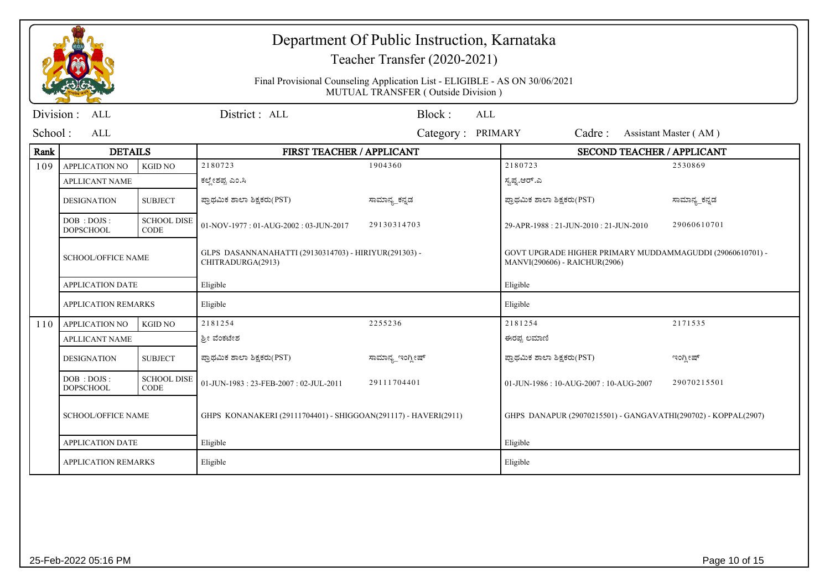|           |                                  |                                   | Department Of Public Instruction, Karnataka<br>Teacher Transfer (2020-2021) |                                                                                                                   |                                                                                            |                       |  |
|-----------|----------------------------------|-----------------------------------|-----------------------------------------------------------------------------|-------------------------------------------------------------------------------------------------------------------|--------------------------------------------------------------------------------------------|-----------------------|--|
|           |                                  |                                   |                                                                             | Final Provisional Counseling Application List - ELIGIBLE - AS ON 30/06/2021<br>MUTUAL TRANSFER (Outside Division) |                                                                                            |                       |  |
| Division: | <b>ALL</b>                       |                                   | District: ALL                                                               | Block:<br>ALL                                                                                                     |                                                                                            |                       |  |
| School:   | ALL                              |                                   |                                                                             | Category: PRIMARY                                                                                                 | Cadre:                                                                                     | Assistant Master (AM) |  |
| Rank      | <b>DETAILS</b>                   |                                   | FIRST TEACHER / APPLICANT                                                   |                                                                                                                   | <b>SECOND TEACHER / APPLICANT</b>                                                          |                       |  |
| 109       | <b>APPLICATION NO</b>            | <b>KGID NO</b>                    | 2180723                                                                     | 1904360                                                                                                           | 2180723                                                                                    | 2530869               |  |
|           | <b>APLLICANT NAME</b>            |                                   | ಕಲ್ಲೇಶಪ್ಪ ಎಂ.ಸಿ                                                             |                                                                                                                   | ಸ್ವಪ್ನ.ಆರ್.ಎ                                                                               |                       |  |
|           | <b>DESIGNATION</b>               | <b>SUBJECT</b>                    | ಪ್ರಾಥಮಿಕ ಶಾಲಾ ಶಿಕ್ಷಕರು(PST)                                                 | ಸಾಮಾನ್ಯ ಕನ್ನಡ                                                                                                     | ಪ್ರಾಥಮಿಕ ಶಾಲಾ ಶಿಕ್ಷಕರು(PST)                                                                | ಸಾಮಾನ್ಯ ಕನ್ನಡ         |  |
|           | DOB : DOJS :<br><b>DOPSCHOOL</b> | <b>SCHOOL DISE</b><br><b>CODE</b> | 01-NOV-1977: 01-AUG-2002: 03-JUN-2017                                       | 29130314703                                                                                                       | 29-APR-1988: 21-JUN-2010: 21-JUN-2010                                                      | 29060610701           |  |
|           | <b>SCHOOL/OFFICE NAME</b>        |                                   | GLPS DASANNANAHATTI (29130314703) - HIRIYUR(291303) -<br>CHITRADURGA(2913)  |                                                                                                                   | GOVT UPGRADE HIGHER PRIMARY MUDDAMMAGUDDI (29060610701) -<br>MANVI(290606) - RAICHUR(2906) |                       |  |
|           | <b>APPLICATION DATE</b>          |                                   | Eligible                                                                    |                                                                                                                   | Eligible                                                                                   |                       |  |
|           | <b>APPLICATION REMARKS</b>       |                                   | Eligible                                                                    |                                                                                                                   | Eligible                                                                                   |                       |  |
| 110       | <b>APPLICATION NO</b>            | <b>KGID NO</b>                    | 2181254                                                                     | 2255236                                                                                                           | 2181254                                                                                    | 2171535               |  |
|           | <b>APLLICANT NAME</b>            |                                   | ಶ್ರೀ ವೆಂಕಟೇಶ                                                                |                                                                                                                   | ಈರಪ್ಪ ಲಮಾಣಿ                                                                                |                       |  |
|           | <b>DESIGNATION</b>               | <b>SUBJECT</b>                    | ಪ್ರಾಥಮಿಕ ಶಾಲಾ ಶಿಕ್ಷಕರು(PST)                                                 | ಸಾಮಾನ್ಯ_ಇಂಗ್ಲೀಷ್                                                                                                  | ಪ್ರಾಥಮಿಕ ಶಾಲಾ ಶಿಕ್ಷಕರು(PST)                                                                | ಇಂಗ್ಲೀಷ್              |  |
|           | DOB: DOJS:<br><b>DOPSCHOOL</b>   | <b>SCHOOL DISE</b><br><b>CODE</b> | 01-JUN-1983: 23-FEB-2007: 02-JUL-2011                                       | 29111704401                                                                                                       | 01-JUN-1986: 10-AUG-2007: 10-AUG-2007                                                      | 29070215501           |  |
|           | <b>SCHOOL/OFFICE NAME</b>        |                                   | GHPS KONANAKERI (29111704401) - SHIGGOAN(291117) - HAVERI(2911)             |                                                                                                                   | GHPS DANAPUR (29070215501) - GANGAVATHI(290702) - KOPPAL(2907)                             |                       |  |
|           | <b>APPLICATION DATE</b>          |                                   | Eligible                                                                    |                                                                                                                   | Eligible                                                                                   |                       |  |
|           | <b>APPLICATION REMARKS</b>       |                                   | Eligible                                                                    |                                                                                                                   | Eligible                                                                                   |                       |  |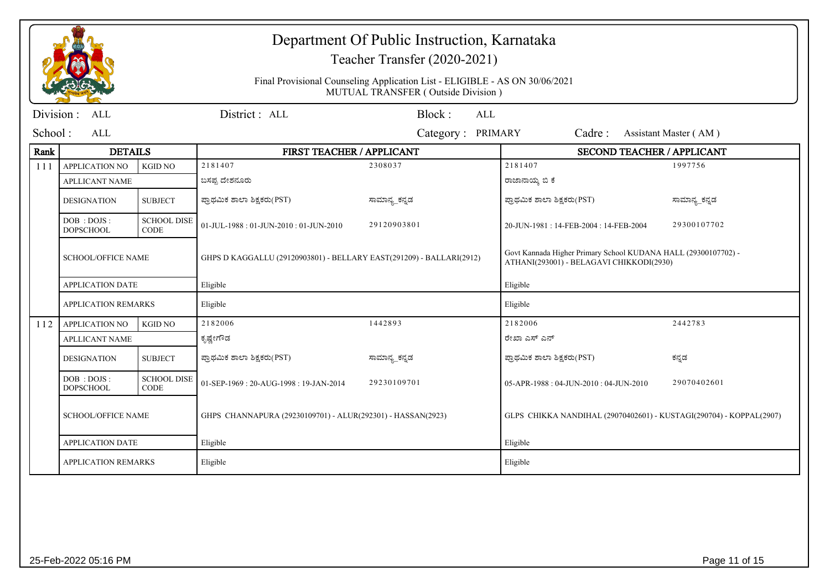|           |                                  |                                   |                                                                      | Department Of Public Instruction, Karnataka<br>Teacher Transfer (2020-2021)                                       |                                                                     |                                                                                                            |  |  |
|-----------|----------------------------------|-----------------------------------|----------------------------------------------------------------------|-------------------------------------------------------------------------------------------------------------------|---------------------------------------------------------------------|------------------------------------------------------------------------------------------------------------|--|--|
|           |                                  |                                   |                                                                      | Final Provisional Counseling Application List - ELIGIBLE - AS ON 30/06/2021<br>MUTUAL TRANSFER (Outside Division) |                                                                     |                                                                                                            |  |  |
| Division: | <b>ALL</b>                       |                                   | District: ALL                                                        | Block:<br><b>ALL</b>                                                                                              |                                                                     |                                                                                                            |  |  |
| School:   | ALL                              |                                   |                                                                      | Category: PRIMARY                                                                                                 | Cadre:                                                              | Assistant Master (AM)                                                                                      |  |  |
| Rank      | <b>DETAILS</b>                   |                                   | FIRST TEACHER / APPLICANT                                            |                                                                                                                   | <b>SECOND TEACHER / APPLICANT</b>                                   |                                                                                                            |  |  |
| 111       | <b>APPLICATION NO</b>            | <b>KGID NO</b>                    | 2181407                                                              | 2308037                                                                                                           | 2181407                                                             | 1997756                                                                                                    |  |  |
|           | <b>APLLICANT NAME</b>            |                                   | ಬಸಪ್ಪ ದೇಶನೂರು                                                        |                                                                                                                   | ರಾಜಾನಾಯ್ಕ ಬಿ ಕೆ                                                     |                                                                                                            |  |  |
|           | <b>DESIGNATION</b>               | <b>SUBJECT</b>                    | ಪ್ರಾಥಮಿಕ ಶಾಲಾ ಶಿಕ್ಷಕರು(PST)                                          | ಸಾಮಾನ್ಯ_ಕನ್ನಡ                                                                                                     | ಪ್ರಾಥಮಿಕ ಶಾಲಾ ಶಿಕ್ಷಕರು(PST)                                         | ಸಾಮಾನ್ಯ_ಕನ್ನಡ                                                                                              |  |  |
|           | DOB : DOJS :<br><b>DOPSCHOOL</b> | <b>SCHOOL DISE</b><br><b>CODE</b> | 01-JUL-1988: 01-JUN-2010: 01-JUN-2010                                | 29120903801                                                                                                       | 20-JUN-1981: 14-FEB-2004: 14-FEB-2004                               | 29300107702                                                                                                |  |  |
|           | <b>SCHOOL/OFFICE NAME</b>        |                                   | GHPS D KAGGALLU (29120903801) - BELLARY EAST(291209) - BALLARI(2912) |                                                                                                                   |                                                                     | Govt Kannada Higher Primary School KUDANA HALL (29300107702) -<br>ATHANI(293001) - BELAGAVI CHIKKODI(2930) |  |  |
|           | <b>APPLICATION DATE</b>          |                                   | Eligible                                                             |                                                                                                                   | Eligible                                                            |                                                                                                            |  |  |
|           | <b>APPLICATION REMARKS</b>       |                                   | Eligible                                                             |                                                                                                                   | Eligible                                                            |                                                                                                            |  |  |
| 112       | <b>APPLICATION NO</b>            | <b>KGID NO</b>                    | 2182006                                                              | 1442893                                                                                                           | 2182006                                                             | 2442783                                                                                                    |  |  |
|           | <b>APLLICANT NAME</b>            |                                   | ಕೃಷ್ಣೇಗೌಡ                                                            |                                                                                                                   | ರೇಖಾ ಎಸ್ ಎನ್                                                        |                                                                                                            |  |  |
|           | <b>DESIGNATION</b>               | <b>SUBJECT</b>                    | ಪ್ರಾಥಮಿಕ ಶಾಲಾ ಶಿಕ್ಷಕರು(PST)                                          | ಸಾಮಾನ್ಯ_ಕನ್ನಡ                                                                                                     | ಪ್ರಾಥಮಿಕ ಶಾಲಾ ಶಿಕ್ಷಕರು(PST)                                         | ಕನ್ನಡ                                                                                                      |  |  |
|           | DOB: DOJS:<br><b>DOPSCHOOL</b>   | <b>SCHOOL DISE</b><br><b>CODE</b> | 01-SEP-1969: 20-AUG-1998: 19-JAN-2014                                | 29230109701                                                                                                       | $05-APR-1988: 04-JIIN-2010: 04-JIIN-2010$                           | 29070402601                                                                                                |  |  |
|           | <b>SCHOOL/OFFICE NAME</b>        |                                   | GHPS CHANNAPURA (29230109701) - ALUR(292301) - HASSAN(2923)          |                                                                                                                   | GLPS CHIKKA NANDIHAL (29070402601) - KUSTAGI(290704) - KOPPAL(2907) |                                                                                                            |  |  |
|           | <b>APPLICATION DATE</b>          |                                   | Eligible                                                             |                                                                                                                   | Eligible                                                            |                                                                                                            |  |  |
|           | <b>APPLICATION REMARKS</b>       |                                   | Eligible                                                             |                                                                                                                   | Eligible                                                            |                                                                                                            |  |  |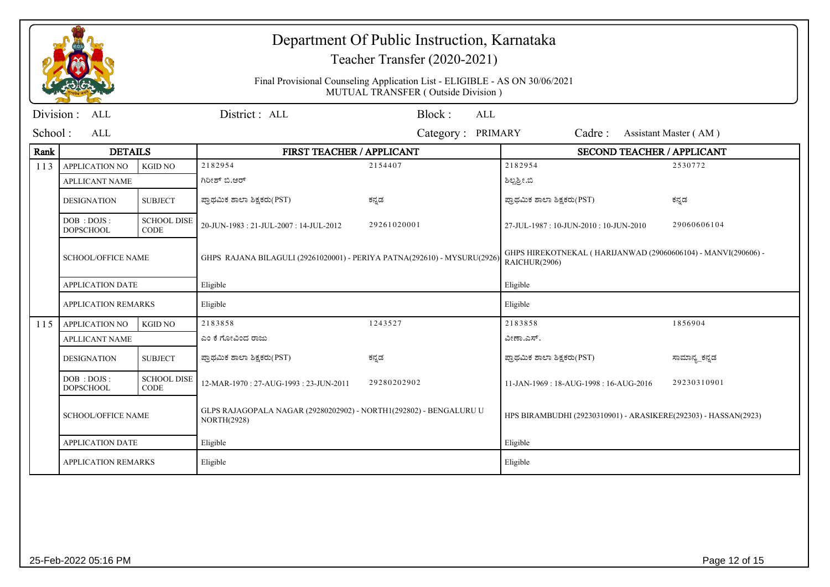|            |                                  |                                   |                                                                                          | Department Of Public Instruction, Karnataka<br>Teacher Transfer (2020-2021)                                       |                                                                                |                       |
|------------|----------------------------------|-----------------------------------|------------------------------------------------------------------------------------------|-------------------------------------------------------------------------------------------------------------------|--------------------------------------------------------------------------------|-----------------------|
|            |                                  |                                   |                                                                                          | Final Provisional Counseling Application List - ELIGIBLE - AS ON 30/06/2021<br>MUTUAL TRANSFER (Outside Division) |                                                                                |                       |
| Division : | ALL                              |                                   | District: ALL                                                                            | Block:<br><b>ALL</b>                                                                                              |                                                                                |                       |
| School:    | ALL                              |                                   |                                                                                          | Category: PRIMARY                                                                                                 | Cadre:                                                                         | Assistant Master (AM) |
| Rank       | <b>DETAILS</b>                   |                                   | FIRST TEACHER / APPLICANT                                                                |                                                                                                                   | <b>SECOND TEACHER / APPLICANT</b>                                              |                       |
| 113        | APPLICATION NO                   | <b>KGID NO</b>                    | 2182954                                                                                  | 2154407                                                                                                           | 2182954                                                                        | 2530772               |
|            | <b>APLLICANT NAME</b>            |                                   | ಗಿರೀಶ್ ಬಿ.ಆರ್                                                                            |                                                                                                                   | ಶಿಲ್ಪಶ್ರೀ.ಬಿ                                                                   |                       |
|            | <b>DESIGNATION</b>               | <b>SUBJECT</b>                    | ಪ್ರಾಥಮಿಕ ಶಾಲಾ ಶಿಕ್ಷಕರು(PST)                                                              | ಕನ್ನಡ                                                                                                             | ಪ್ರಾಥಮಿಕ ಶಾಲಾ ಶಿಕ್ಷಕರು(PST)                                                    | ಕನ್ನಡ                 |
|            | DOB : DOJS :<br><b>DOPSCHOOL</b> | <b>SCHOOL DISE</b><br><b>CODE</b> | 20-JUN-1983: 21-JUL-2007: 14-JUL-2012                                                    | 29261020001                                                                                                       | 27-JUL-1987: 10-JUN-2010: 10-JUN-2010                                          | 29060606104           |
|            | <b>SCHOOL/OFFICE NAME</b>        |                                   | GHPS RAJANA BILAGULI (29261020001) - PERIYA PATNA(292610) - MYSURU(2926)                 |                                                                                                                   | GHPS HIREKOTNEKAL (HARIJANWAD (29060606104) - MANVI(290606) -<br>RAICHUR(2906) |                       |
|            | <b>APPLICATION DATE</b>          |                                   | Eligible                                                                                 |                                                                                                                   | Eligible                                                                       |                       |
|            | <b>APPLICATION REMARKS</b>       |                                   | Eligible                                                                                 |                                                                                                                   | Eligible                                                                       |                       |
| 115        | <b>APPLICATION NO</b>            | <b>KGID NO</b>                    | 2183858                                                                                  | 1243527                                                                                                           | 2183858                                                                        | 1856904               |
|            | <b>APLLICANT NAME</b>            |                                   | ಎಂ ಕೆ ಗೋವಿಂದ ರಾಜು                                                                        |                                                                                                                   | ವೀಣಾ.ಎಸ್.                                                                      |                       |
|            | <b>DESIGNATION</b>               | <b>SUBJECT</b>                    | ಪ್ರಾಥಮಿಕ ಶಾಲಾ ಶಿಕ್ಷಕರು(PST)                                                              | ಕನ್ನಡ                                                                                                             | ಪ್ರಾಥಮಿಕ ಶಾಲಾ ಶಿಕ್ಷಕರು(PST)                                                    | ಸಾಮಾನ್ಯ_ಕನ್ನಡ         |
|            | DOB : DOJS :<br><b>DOPSCHOOL</b> | <b>SCHOOL DISE</b><br><b>CODE</b> | 12-MAR-1970: 27-AUG-1993: 23-JUN-2011                                                    | 29280202902                                                                                                       | 11-JAN-1969: 18-AUG-1998: 16-AUG-2016                                          | 29230310901           |
|            | <b>SCHOOL/OFFICE NAME</b>        |                                   | GLPS RAJAGOPALA NAGAR (29280202902) - NORTH1(292802) - BENGALURU U<br><b>NORTH(2928)</b> |                                                                                                                   | HPS BIRAMBUDHI (29230310901) - ARASIKERE(292303) - HASSAN(2923)                |                       |
|            | <b>APPLICATION DATE</b>          |                                   | Eligible                                                                                 |                                                                                                                   | Eligible                                                                       |                       |
|            | <b>APPLICATION REMARKS</b>       |                                   | Eligible                                                                                 |                                                                                                                   | Eligible                                                                       |                       |
|            |                                  |                                   |                                                                                          |                                                                                                                   |                                                                                |                       |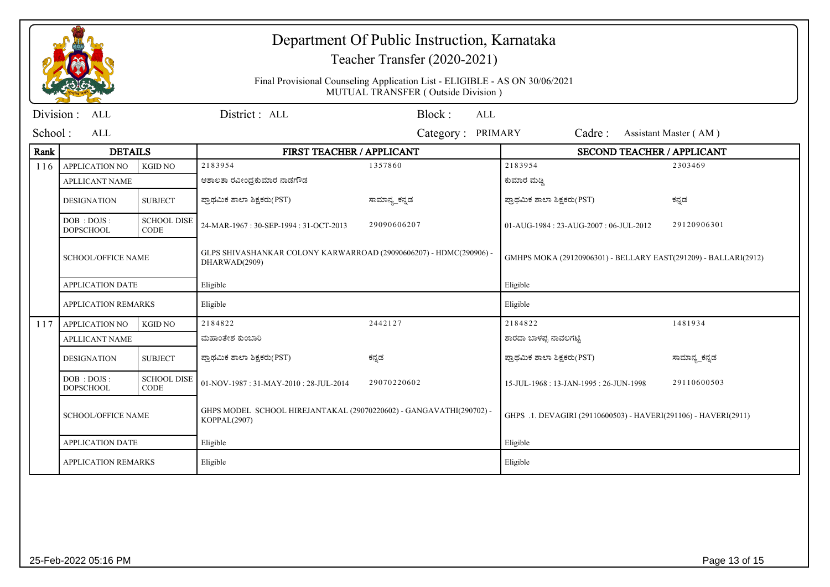|                   |                                                                             |                                   | Department Of Public Instruction, Karnataka<br>Teacher Transfer (2020-2021)<br>Final Provisional Counseling Application List - ELIGIBLE - AS ON 30/06/2021<br>MUTUAL TRANSFER (Outside Division) |                             |                                                                             |               |  |
|-------------------|-----------------------------------------------------------------------------|-----------------------------------|--------------------------------------------------------------------------------------------------------------------------------------------------------------------------------------------------|-----------------------------|-----------------------------------------------------------------------------|---------------|--|
| Division :<br>ALL |                                                                             |                                   | District: ALL                                                                                                                                                                                    | Block:<br>ALL               |                                                                             |               |  |
| School :          | ALL                                                                         |                                   |                                                                                                                                                                                                  | <b>PRIMARY</b><br>Category: | Cadre:<br>Assistant Master (AM)                                             |               |  |
| Rank              | <b>DETAILS</b>                                                              |                                   | FIRST TEACHER / APPLICANT                                                                                                                                                                        |                             | <b>SECOND TEACHER / APPLICANT</b>                                           |               |  |
| 116               | <b>APPLICATION NO</b>                                                       | <b>KGID NO</b>                    | 2183954                                                                                                                                                                                          | 1357860                     | 2183954                                                                     | 2303469       |  |
|                   | <b>APLLICANT NAME</b>                                                       |                                   | ಆಶಾಲತಾ ರವೀಂಧ್ರಕುಮಾರ ನಾಡಗೌಡ                                                                                                                                                                       |                             | ಕುಮಾರ ಮಡ್ಡಿ                                                                 |               |  |
|                   | <b>DESIGNATION</b>                                                          | <b>SUBJECT</b>                    | ಪ್ರಾಥಮಿಕ ಶಾಲಾ ಶಿಕ್ಷಕರು(PST)                                                                                                                                                                      | ಸಾಮಾನ್ಯ ಕನ್ನಡ               | ಪ್ರಾಥಮಿಕ ಶಾಲಾ ಶಿಕ್ಷಕರು(PST)                                                 | ಕನ್ನಡ         |  |
|                   | DOB : DOJS :<br><b>DOPSCHOOL</b>                                            | <b>SCHOOL DISE</b><br><b>CODE</b> | 24-MAR-1967: 30-SEP-1994: 31-OCT-2013                                                                                                                                                            | 29090606207                 | 01-AUG-1984: 23-AUG-2007: 06-JUL-2012                                       | 29120906301   |  |
|                   | <b>SCHOOL/OFFICE NAME</b><br><b>APPLICATION DATE</b><br>APPLICATION REMARKS |                                   | GLPS SHIVASHANKAR COLONY KARWARROAD (29090606207) - HDMC(290906) -<br>DHARWAD(2909)<br>Eligible                                                                                                  |                             | GMHPS MOKA (29120906301) - BELLARY EAST(291209) - BALLARI(2912)<br>Eligible |               |  |
|                   |                                                                             |                                   |                                                                                                                                                                                                  |                             |                                                                             |               |  |
|                   |                                                                             |                                   | Eligible                                                                                                                                                                                         |                             | Eligible                                                                    |               |  |
| 117               | APPLICATION NO                                                              | <b>KGID NO</b>                    | 2184822                                                                                                                                                                                          | 2442127                     | 2184822                                                                     | 1481934       |  |
|                   | <b>APLLICANT NAME</b>                                                       |                                   | ಮಹಾಂತೇಶ ಕುಂಬಾರಿ                                                                                                                                                                                  |                             | ಶಾರದಾ ಬಾಳಪ್ಪ ನಾವಲಗಟ್ಟಿ                                                      |               |  |
|                   | <b>DESIGNATION</b>                                                          | <b>SUBJECT</b>                    | ಪ್ರಾಥಮಿಕ ಶಾಲಾ ಶಿಕ್ಷಕರು(PST)                                                                                                                                                                      | ಕನ್ನಡ                       | ಪ್ರಾಥಮಿಕ ಶಾಲಾ ಶಿಕ್ಷಕರು(PST)                                                 | ಸಾಮಾನ್ಯ_ಕನ್ನಡ |  |
|                   | DOB : DOJS :<br><b>DOPSCHOOL</b>                                            | <b>SCHOOL DISE</b><br><b>CODE</b> | 01-NOV-1987: 31-MAY-2010: 28-JUL-2014                                                                                                                                                            | 29070220602                 | 15-JUL-1968: 13-JAN-1995: 26-JUN-1998                                       | 29110600503   |  |
|                   | <b>SCHOOL/OFFICE NAME</b>                                                   |                                   | GHPS MODEL SCHOOL HIREJANTAKAL (29070220602) - GANGAVATHI(290702) -<br>KOPPAL(2907)                                                                                                              |                             | GHPS .1. DEVAGIRI (29110600503) - HAVERI(291106) - HAVERI(2911)             |               |  |
|                   | <b>APPLICATION DATE</b><br>Eligible                                         |                                   |                                                                                                                                                                                                  | Eligible                    |                                                                             |               |  |
|                   | <b>APPLICATION REMARKS</b><br>Eligible                                      |                                   | Eligible                                                                                                                                                                                         |                             |                                                                             |               |  |
|                   |                                                                             |                                   |                                                                                                                                                                                                  |                             |                                                                             |               |  |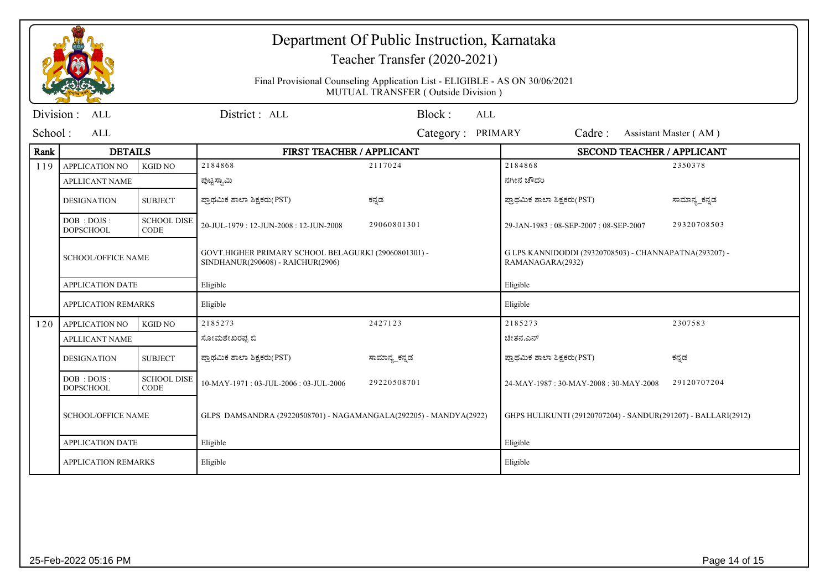|                           |                                        |                                                                                                                        | Department Of Public Instruction, Karnataka<br>Teacher Transfer (2020-2021)<br>Final Provisional Counseling Application List - ELIGIBLE - AS ON 30/06/2021<br>MUTUAL TRANSFER (Outside Division) |                   |                                                                            |                       |  |
|---------------------------|----------------------------------------|------------------------------------------------------------------------------------------------------------------------|--------------------------------------------------------------------------------------------------------------------------------------------------------------------------------------------------|-------------------|----------------------------------------------------------------------------|-----------------------|--|
| Division :                | ALL                                    |                                                                                                                        | District: ALL                                                                                                                                                                                    | Block:<br>ALL     |                                                                            |                       |  |
| School:                   | ALL                                    |                                                                                                                        |                                                                                                                                                                                                  | Category: PRIMARY | Cadre:                                                                     | Assistant Master (AM) |  |
| Rank                      | <b>DETAILS</b>                         |                                                                                                                        | FIRST TEACHER / APPLICANT                                                                                                                                                                        |                   | <b>SECOND TEACHER / APPLICANT</b>                                          |                       |  |
| 119                       | <b>APPLICATION NO</b>                  | <b>KGID NO</b>                                                                                                         | 2184868                                                                                                                                                                                          | 2117024           | 2184868                                                                    | 2350378               |  |
|                           | <b>APLLICANT NAME</b>                  |                                                                                                                        | ಪುಟ್ಟಸ್ವಾಮಿ                                                                                                                                                                                      |                   | ನಗೀನ ಚೌದರಿ                                                                 |                       |  |
|                           | <b>DESIGNATION</b>                     | <b>SUBJECT</b>                                                                                                         | ಪ್ರಾಥಮಿಕ ಶಾಲಾ ಶಿಕ್ಷಕರು(PST)                                                                                                                                                                      | ಕನ್ನಡ             | ಪ್ರಾಥಮಿಕ ಶಾಲಾ ಶಿಕ್ಷಕರು(PST)                                                | ಸಾಮಾನ್ಯ_ಕನ್ನಡ         |  |
|                           | DOB: DOJS:<br><b>DOPSCHOOL</b>         | <b>SCHOOL DISE</b><br><b>CODE</b>                                                                                      | 20-JUL-1979: 12-JUN-2008: 12-JUN-2008                                                                                                                                                            | 29060801301       | 29-JAN-1983: 08-SEP-2007: 08-SEP-2007                                      | 29320708503           |  |
|                           |                                        | GOVT.HIGHER PRIMARY SCHOOL BELAGURKI (29060801301) -<br><b>SCHOOL/OFFICE NAME</b><br>SINDHANUR(290608) - RAICHUR(2906) |                                                                                                                                                                                                  |                   | G LPS KANNIDODDI (29320708503) - CHANNAPATNA(293207) -<br>RAMANAGARA(2932) |                       |  |
|                           | <b>APPLICATION DATE</b>                |                                                                                                                        | Eligible                                                                                                                                                                                         |                   | Eligible                                                                   |                       |  |
|                           | <b>APPLICATION REMARKS</b>             |                                                                                                                        | Eligible                                                                                                                                                                                         |                   | Eligible                                                                   |                       |  |
| 120                       | <b>APPLICATION NO</b>                  | <b>KGID NO</b>                                                                                                         | 2185273                                                                                                                                                                                          | 2427123           | 2185273                                                                    | 2307583               |  |
|                           | <b>APLLICANT NAME</b>                  | ಸೋಮಶೇಖರಪ್ಪ ಬಿ                                                                                                          |                                                                                                                                                                                                  |                   | ಚೇತನ.ಎನ್                                                                   |                       |  |
|                           | <b>DESIGNATION</b>                     | <b>SUBJECT</b>                                                                                                         | ಪ್ರಾಥಮಿಕ ಶಾಲಾ ಶಿಕ್ಷಕರು(PST)                                                                                                                                                                      | ಸಾಮಾನ್ಯ_ಕನ್ನಡ     | ಪ್ರಾಥಮಿಕ ಶಾಲಾ ಶಿಕ್ಷಕರು(PST)                                                | ಕನ್ನಡ                 |  |
|                           | DOB: DOJS:<br><b>DOPSCHOOL</b>         | <b>SCHOOL DISE</b><br><b>CODE</b>                                                                                      | 10-MAY-1971: 03-JUL-2006: 03-JUL-2006                                                                                                                                                            | 29220508701       | 24-MAY-1987: 30-MAY-2008: 30-MAY-2008                                      | 29120707204           |  |
| <b>SCHOOL/OFFICE NAME</b> |                                        |                                                                                                                        | GLPS DAMSANDRA (29220508701) - NAGAMANGALA(292205) - MANDYA(2922)                                                                                                                                |                   | GHPS HULIKUNTI (29120707204) - SANDUR(291207) - BALLARI(2912)              |                       |  |
|                           | <b>APPLICATION DATE</b><br>Eligible    |                                                                                                                        |                                                                                                                                                                                                  | Eligible          |                                                                            |                       |  |
|                           | <b>APPLICATION REMARKS</b><br>Eligible |                                                                                                                        |                                                                                                                                                                                                  | Eligible          |                                                                            |                       |  |